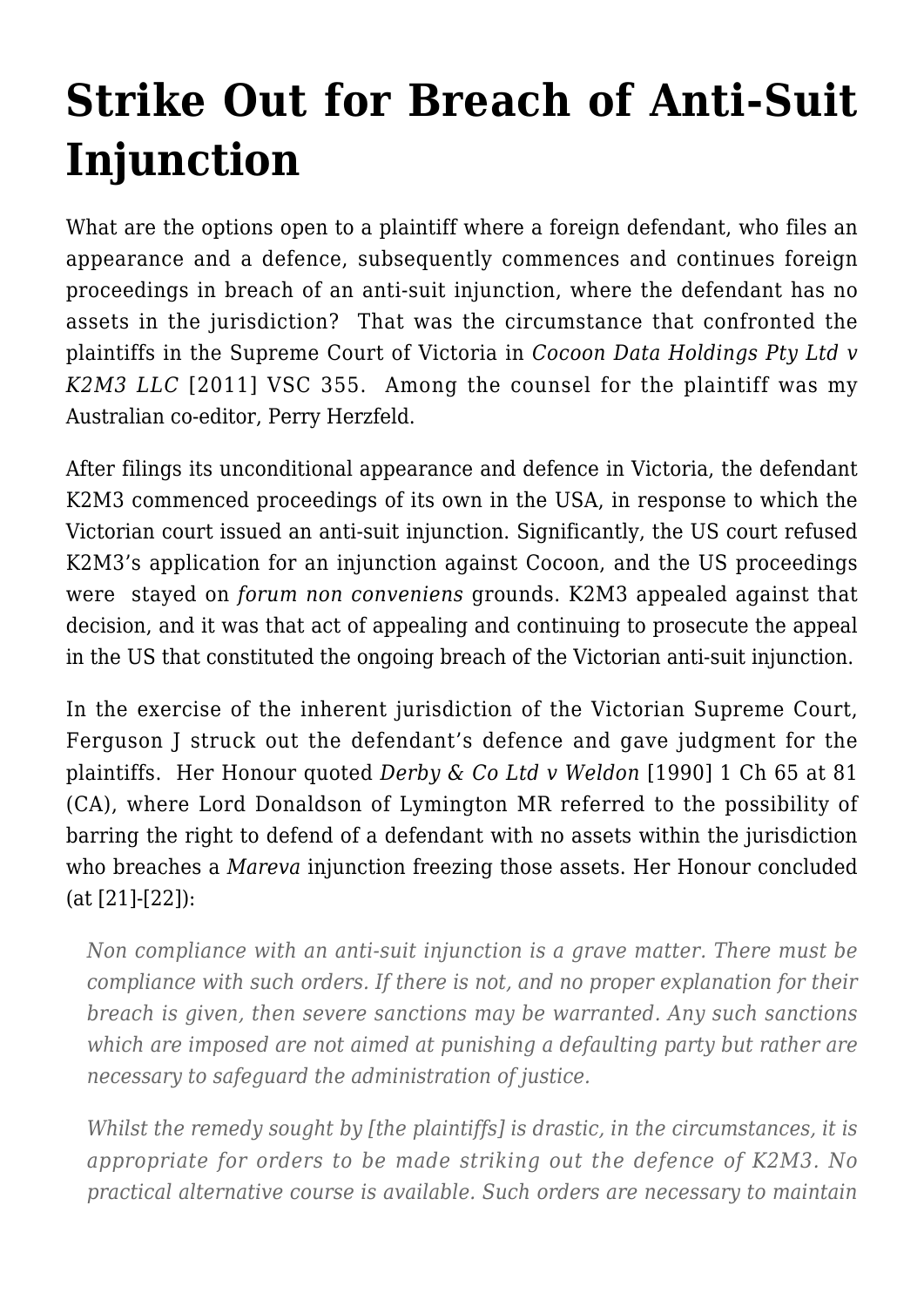## **[Strike Out for Breach of Anti-Suit](https://conflictoflaws.net/2011/strike-out-for-breach-of-anti-suit-injunction/) [Injunction](https://conflictoflaws.net/2011/strike-out-for-breach-of-anti-suit-injunction/)**

What are the options open to a plaintiff where a foreign defendant, who files an appearance and a defence, subsequently commences and continues foreign proceedings in breach of an anti-suit injunction, where the defendant has no assets in the jurisdiction? That was the circumstance that confronted the plaintiffs in the Supreme Court of Victoria in *[Cocoon Data Holdings Pty Ltd v](http://www.austlii.edu.au/cgi-bin/sinodisp/au/cases/vic/VSC/2011/355.html) [K2M3 LLC](http://www.austlii.edu.au/cgi-bin/sinodisp/au/cases/vic/VSC/2011/355.html)* [2011] VSC 355. Among the counsel for the plaintiff was my Australian co-editor, [Perry Herzfeld.](http://www.vicbar.com.au/find-a-barrister/advanced-search/search-results/barrister-profile?4232)

After filings its unconditional appearance and defence in Victoria, the defendant K2M3 commenced proceedings of its own in the USA, in response to which the Victorian court issued an anti-suit injunction. Significantly, the US court refused K2M3's application for an injunction against Cocoon, and the US proceedings were stayed on *forum non conveniens* grounds. K2M3 appealed against that decision, and it was that act of appealing and continuing to prosecute the appeal in the US that constituted the ongoing breach of the Victorian anti-suit injunction.

In the exercise of the inherent jurisdiction of the Victorian Supreme Court, Ferguson J struck out the defendant's defence and gave judgment for the plaintiffs. Her Honour quoted *Derby & Co Ltd v Weldon* [1990] 1 Ch 65 at 81 (CA), where Lord Donaldson of Lymington MR referred to the possibility of barring the right to defend of a defendant with no assets within the jurisdiction who breaches a *Mareva* injunction freezing those assets. Her Honour concluded (at [21]-[22]):

*Non compliance with an anti-suit injunction is a grave matter. There must be compliance with such orders. If there is not, and no proper explanation for their breach is given, then severe sanctions may be warranted. Any such sanctions which are imposed are not aimed at punishing a defaulting party but rather are necessary to safeguard the administration of justice.*

*Whilst the remedy sought by [the plaintiffs] is drastic, in the circumstances, it is appropriate for orders to be made striking out the defence of K2M3. No practical alternative course is available. Such orders are necessary to maintain*